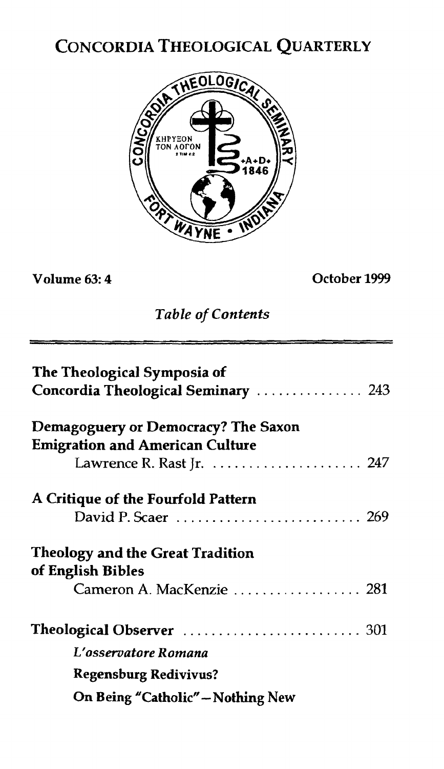# CONCORDIA THEOLOGICAL QUARTERLY



## **Volume 63: 4 October 1999**

## *Table* **of** *Contents*

| The Theological Symposia of<br>Concordia Theological Seminary  243 |  |  |
|--------------------------------------------------------------------|--|--|
| Demagoguery or Democracy? The Saxon                                |  |  |
| <b>Emigration and American Culture</b>                             |  |  |
| Lawrence R. Rast Jr. $\ldots \ldots \ldots \ldots \ldots 247$      |  |  |
| A Critique of the Fourfold Pattern                                 |  |  |
| <b>Theology and the Great Tradition</b><br>of English Bibles       |  |  |
| Cameron A. MacKenzie  281                                          |  |  |
|                                                                    |  |  |
| L'osservatore Romana                                               |  |  |
| <b>Regensburg Redivivus?</b>                                       |  |  |
| On Being "Catholic" - Nothing New                                  |  |  |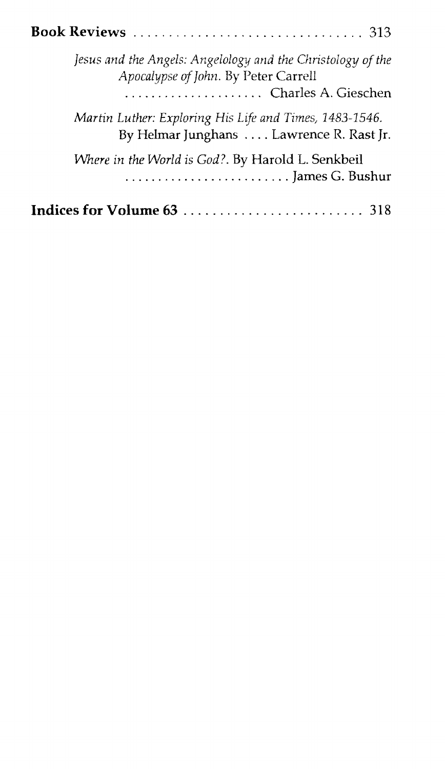|  | Jesus and the Angels: Angelology and the Christology of the<br>Apocalypse of John. By Peter Carrell<br>Charles A. Gieschen |  |
|--|----------------------------------------------------------------------------------------------------------------------------|--|
|  | Martin Luther: Exploring His Life and Times, 1483-1546.<br>By Helmar Junghans  Lawrence R. Rast Jr.                        |  |
|  | Where in the World is God?. By Harold L. Senkbeil                                                                          |  |
|  | Indices for Volume 63                                                                                                      |  |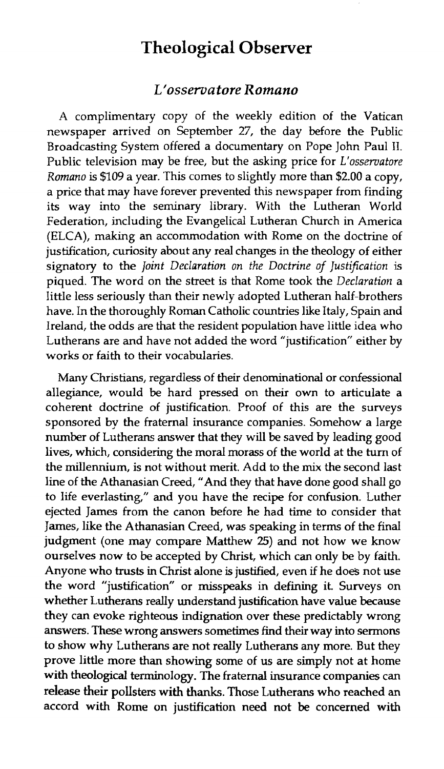## **Theological Observer**

#### *L'ossematore Romano*

A complimentary copy of the weekly edition of the Vatican newspaper arrived on September 27, the day before the Public Broadcasting System offered a documentary on Pope John Paul 11. Public television may be free, but the asking price for *L'osservatore Romano* is *\$109* a year. This comes to slightly more than \$2.00 a copy, a price that may have forever prevented this newspaper from finding its way into the seminary library. With the Lutheran World Federation, including the Evangelical Lutheran Church in America (ELCA), making **an** accommodation with Rome on the doctrine of justification, curiosity about any real changes in the theology of either signatory to the *Joinf Declaration on the Doctrine of Justification is*  piqued. The word on the street is that Rome took the *Declaration* a Iittle less seriously than their newly adopted Lutheran half-brothers have. In the thoroughly Roman Catholic countries like Italy, Spain and Ireland, the odds are that the resident population have little idea who Lutherans are and have not added the word "justification" either by works or faith to their vocabularies.

Many Christians, regardless of their denominational or confessional allegiance, would be hard pressed on their own to articulate a coherent doctrine of justification. Proof of this are the surveys sponsored by the fraternal insurance companies. Somehow a large number of Lutherans answer that they will be saved by leading good lives, which, considering the moral morass of the world at the turn of the millennium, is not without merit. Add to the mix the second last line of the Athanasian Creed, "And they that have done good shall go to life everlasting," and you have the recipe for confusion. Luther ejected James from the canon before he had time to consider that James, like the Athanasian Creed, **was** speaking in terms of the final judgment (one may compare Matthew 25) and not how we know ourselves now to be accepted by Christ, which can only be by faith. Anyone who **trusts** in Christ alone is **justified,** even if he does not use the word "justification" or **misspeaks** in defining it. Surveys on whether Lutherans really understand justification have value because they can evoke righteous indignation over these predictably wrong answers. These wrong answers sometimes find their way into sermons to show why Lutherans are not really Lutherans any more. But they prove little more than showing some of us are simply not at home with theological terminology. The fraternal insurance companies can **release** their polIsters **with thanks.** Those Lutherans who reached an accord with Rome on justification need not be concerned with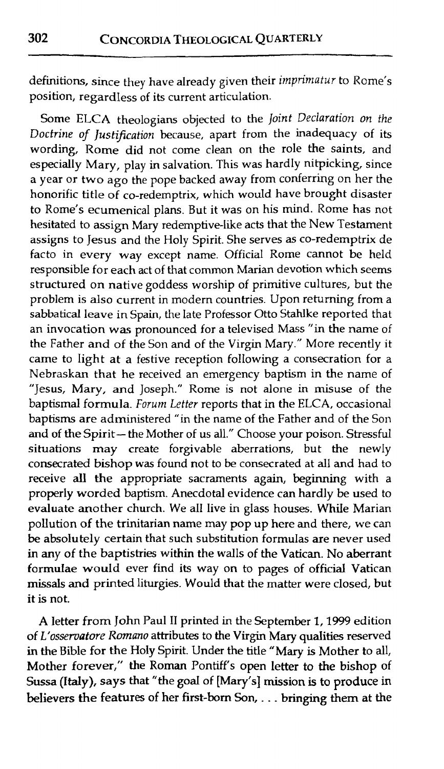definitions, since they have already given their *imprimatur* to Rome's position, regardless of its current articulation.

Some ELCA theologians objected to the Joint *Declaration* on the Doctrine of Justification because, apart from the inadequacy of its wording, Rome did not come clean on the role the saints, and especially Mary, play in salvation. This was hardly nitpicking, since a year or two ago the pope backed away from conferring on her the honorific title of co-redemptrix, which wouId have brought disaster to Rome's ecumenical plans. But it was on his mind. Rome has not hesitated to assign Mary redemptive-like acts that the New Testament assigns to Jesus and the Holy Spirit. She serves as CO-redemptrix de facto in every way except name. Official Rome cannot be held responsible for each act of that common Marian devotion which seems structured on native goddess worship of primitive cultures, but the problem is also current in modern countries. Upon retuning from a sabbatical leave in Spain, the late Professor Otto Stahlke reported that an invocation was pronounced for a televised Mass "in the name of the Father and of the Son and of the Virgin Mary." More recently it came to light at a festive reception following a consecration for a Nebraskan that he received an emergency baptism in the name of "Jesus, Mary, and Joseph." Rome is not alone in misuse of the baptismal formula. *Forurn* Letter reports that in the ELCA, occasional baptisms are administered "in the name of the Father and of the Son and of the Spirit- the Mother of us all." Choose your poison. Stressful situations **may** create forgivable aberrations, but the newly consecrated bishop was found not to be consecrated at all and had to receive **all the** appropriate sacraments again, beginning with a properly worded baptism. Anecdotal evidence can hardly be used to evaluate another church. We all live in glass houses. While Marian pollution of the trinitarian name may pop up here and there, we can be absolutely certain that such substitution formulas are never used in any of the baptistries within the walls of the Vatican. No aberrant formulae would ever find its way on to pages of official Vatican **missals and** printed liturgies. Would that the matter were closed, but it is not.

A letter from John Paul I1 printed in the September 1,1999 edition of L'ossematore *Rmnmo* attributes to the Virgin Mary qualities reserved in the Bible for the Holy Spirit. Under the title **"Mary** is Mother to all, **Mother** forever," the Roman Pontiff's open letter to **the** bishop of Sussa **(Italy),** says that "the goal of **[Mary's]** mission is to produce in believers **the** features of her **first-born** Son, . . . bringing **them** at **the**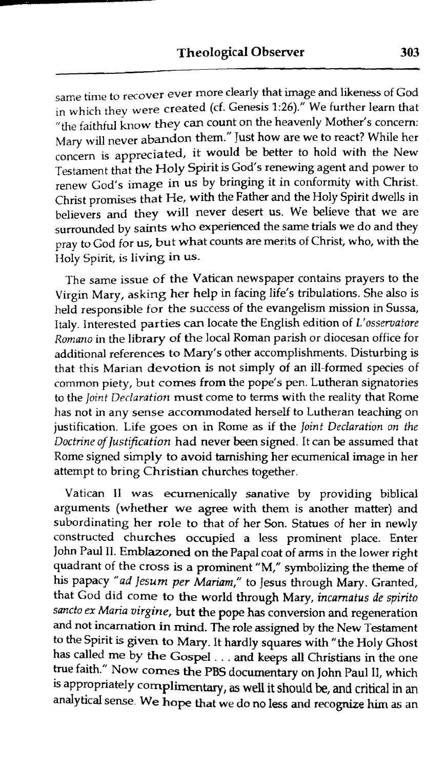same time **to** recover ever more clearly that image and likeness of God in whidl thev were created (cf. Genesis **1:26)."** We further learn that "the faithful know they can count on the heavenly Mother's concern: **Mary will never abandon them."** Just how are we to react? While her concern is appreciated, it would be better to hold with the New Testament that the Holy Spirit is God's renewing agent and power to renew God's image in us by bringing it in conformity with Christ. Christ promises that He, with the Father and the Holy Spirit dwells in believers and they **will** never desert us. We believe that we are surrounded by saints who experienced the same trials we do and they pray to God for us, but what counts are merits of Christ, who, with the Holy Spirit, is living in us.

The same issue of the Vatican newspaper contains prayers to the Virgin Mary. asking her help in facing life's tribulations. She also is held responsible for the success of the evangelism mission in Sussa, **Italy.** Interested parties can locate the English edition of *L'osservatore Ronlmzo* in the library of the local Roman parish or diocesan office for additional references to Mary's other accomplishments. Disturbing is that this Marian **devotion** is not simply of an ill-formed species of common piety, but comes from the pope's pen. Lutheran signatories to the *Joint Declaration* must come to terms with the reality that Rome has not in any sense accommodated herself to Lutheran teaching on justification. Life goes on in Rome as if the *Joinf Declaration on the Doctrine of lustiflcation* had never been signed. It can be assumed that Rome signed simply to avoid tarnishing her ecumenical image in her attempt to bring Christian churches together.

Vatican 11 was ecumenically sanative **by** providing biblical arguments (whether we **agree** with them is another matter) **and**  subordinating her role to that of her Son. Statues of her in newly constructed churches occupied a less prominent place. Enter John Paul 11. Emblazoned on the Papal coat of arms in the lower right quadrant of the cross is a prominent "M," symbolizing the theme of his papacy *"ad lesurn* per *Marirm,"* to Jesus through **Mary.** Granted. that God did come to the world through Mary, *incamatus de spirit0 sancto ex* **Maria** *virgine,* but the pope has conversion **and** regeneration and not incarnation in mind. The role assigned by the New Testament to the Spirit is given to Mary. It hardly squares with "the Holy Ghost has called me by **the** Gospel . . . and keeps **all** Christians in the one true faith." Now comes the PBS documentary on John Paul 11, which **is** appropriately complimentary, **as** well it **should** be, **and** critical in an analytical Smse- **We hope** that we do no **less and recognize him** as an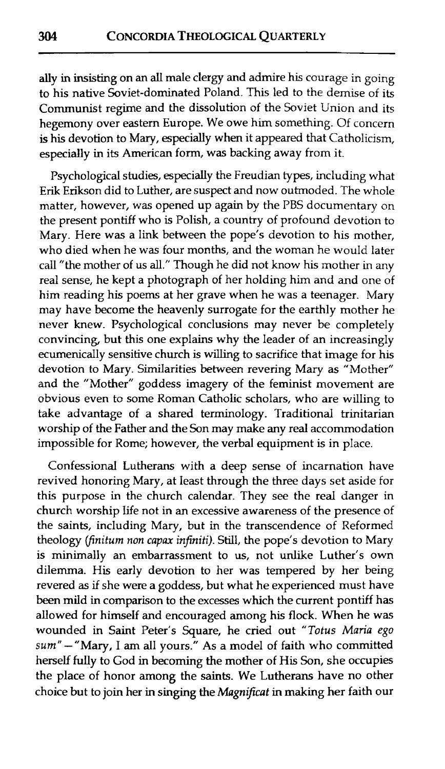ally in insisting on an all male clergy **and** admire his courage in going to his native Soviet-dominated Poland. This led to the demise of its Communist regime and the dissolution of the Soviet Union and its hegemony over eastern Europe. We owe him something. Of concern is his devotion to Mary, especially when it appeared that Catholicism, especially in its American form, was backing away from it.

Psychological studies, especially the Freudian types, including what Erik Erikson did to Luther, are suspect and now outmoded. The whole matter, however, was opened up again by the PBS documentary on the present pontiff who is Polish, a country of profound devotion to Mary. Here was a link between the pope's devotion to his mother, who died when he was four months, and the woman he would later call "the mother of us all." Though he did not know his mother in any real sense, he kept a photograph of her holding him and and one of him reading his poems at her grave when he was a teenager. Mary may have become the heavenly surrogate for the earthly mother he never knew. Psychological conclusions may never be completely convincing, but this one explains why the leader of an increasingly ecumenically sensitive church is willing to sacrifice that image for his devotion to Mary. Similarities between revering Mary as "Mother" and the "Mother" goddess imagery of the feminist movement are obvious even to some Roman Catholic scholars, who are willing to take advantage of a shared terminology. Traditional trinitarian worship of the Father and the Son may make any real accommodation impossible for Rome; however, the verbal equipment is in place.

Confessional Lutherans with a deep sense of incarnation have revived honoring Mary, at least through the three days set aside for this purpose in the church calendar. They see the real danger in church worship life not in an excessive awareness of the presence of the saints, including Mary, but in the transcendence of Reformed theology (finiturn **non** *capax* **infiniti).** Still, the pope's devotion to Mary is minimally an embarrassment to us, not unlike Luther's own dilemma. His earlv devotion to her was tempered by her being revered as if she were a goddess, but what he experienced must have been mild in comparison to the excesses which the current pontiff has allowed for himself and encouraged among his flock. When he was wounded in Saint Peter's Square, he cried out *"Totus* Maria ego sum" - "Mary, I am all yours." As a model of faith who committed herself fully to God in becoming the mother of His Son, she occupies the place of honor among the **saints.** We Lutherans have no other choice but to join her in singing the *Magnificat* in making her faith our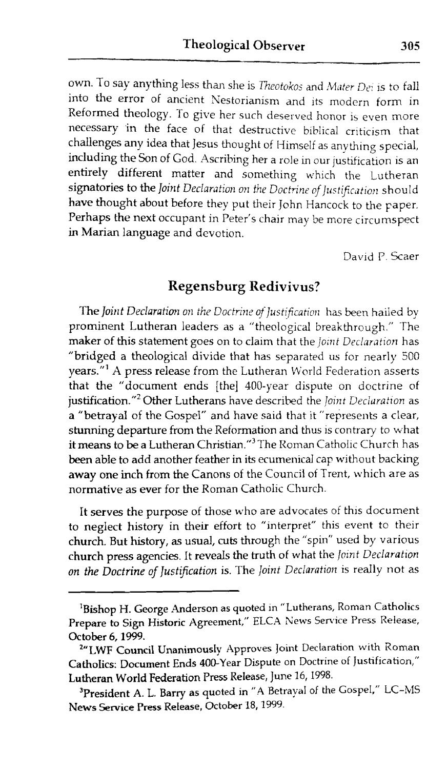own. To say anything less than she is *Theotokos* and *Mater Dei* is to fall into the error of ancient Nestorianism and its modern form in Reformed theology. To give her such deserved honor is even more necessary 'in the face of that destructive bibiicd criticism that challenges any idea that Jesus thought of Himself as anvthing special. including the Son of God. Ascribing her a role in our justification is an entirely different matter and something which the Lutheran signatories to the Joint Declaration on the *Doctrine of Justification* should have thought about before they put their John Hancock to the paper. Perhaps the next occupant in Peter's chair may be more circumspect in Marian language and devotion.

David P. Scaer

### **Regensburg Redivivus?**

The Joint Declaration on the Doctrine of Justification has been hailed by prominent Lutheran leaders as a "theological breakthrough." The maker of this statement goes on to claim that the *Joint Declaration* has "bridged a theological divide that has separated us for nearly 500 years."' **A** press release from the Lutheran World Federation asserts that the "document ends [the] 400-vear dispute on doctrine of justification."<sup>2</sup> Other Lutherans have described the *loint Declaration* as a "betrayal of the Gospel" and have said that it "represents a clear, stunning departure from the Reformation and thus is contrary to what it means to be a Lutheran Christian."<sup>3</sup> The Roman Catholic Church has been able to add another feather in its ecumenical cap without backing away one inch from the Canons of the Council of Trent, which are as normative as ever for the Roman Catholic Church.

It serves the purpose of those who are advocates of this document to neglect history in their effort to "interpret" this event *to* their church. But history, as usual, cuts through the "spin" used by various church press agencies. It reveds the truth of what the joint Declaration on the Doctrine of Justification is. The *Joint Declaration* is really not as

<sup>&</sup>lt;sup>1</sup>Bishop H. George Anderson as quoted in "Lutherans, Roman Catholics Prepare to **Sign** Historic Agreement," ELCA News Service Press Release, October 6,1999.

**<sup>&#</sup>x27;"LWF Council Unanimously** Approves Joint Declaration with Roman **CathoIics:** Document Ends 400-Year Dispute on Doctrine of Justification," **Lutheran** World **Federation** Press Release, June 16,1998.

<sup>&</sup>lt;sup>3</sup>President A. L. Barry as quoted in "A Betrayal of the Gospel," LC-MS News **Service Press Release, October 18,1999.**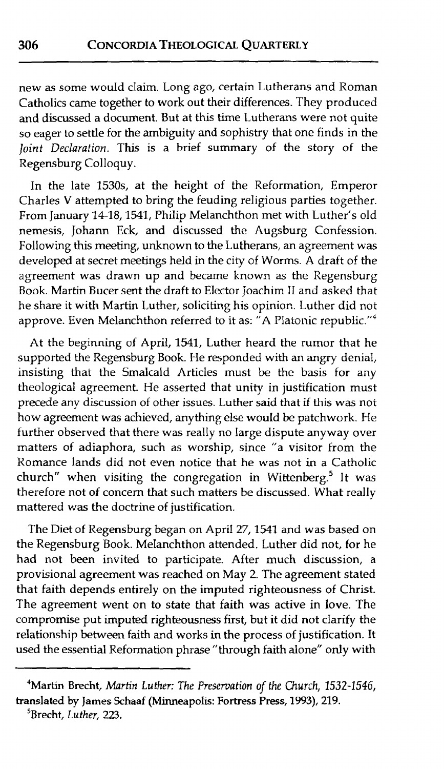new as some would claim. Long ago, certain Lutherans and Roman Catholics came together to work out their differences. They produced and discussed a document. But at this time Lutherans were not quite so eager to settle for the ambiguity **and** sophistry that one finds in the **Joint** Declaration. This is a brief summary of the story of the Regensburg Colloquy.

In the late 1530s, at the height of the Reformation, Emperor Charles V attempted to bring the feuding religious parties together. From January 14-18,1541, PhiIip Melanchthon met with Luther's old nemesis, Johann Eck, and discussed the Augsburg Confession. Following this meeting, unknown to the Lutherans, an agreement was developed at secret meetings held in the city of Worms. A draft of the agreement was drawn up and became known as the Regensburg Book. Martin Eucer sent the draft to Elector joachim I1 and asked that he share it with Martin Luther, soliciting his opinior,. Luther did not approve. Even Melanchthon referred to it as: "A Platonic republic."4

At the beginning of April, 1541, Luther heard the rumor that he supported the Regensburg Book. He responded with an angry denial, insisting that the Smalcald Articles must be the basis for any theological agreement. He asserted that unity in justification must precede any discussion of other issues. Luther said that if this was not how agreement was achieved, anything else would be patchwork. He further observed that there was really no large dispute anyway over matters of adiaphora, such as worship, since "a visitor from the Romance lands did not even notice that he was not in a Catholic church" when visiting the congregation in Wittenberg.<sup>5</sup> It was therefore not of concern that such matters be discussed. What really mattered was the doctrine of justification.

The Diet of Regensburg began on April 27,1541 and was based on the Regensburg Book. Melanchthon attended. Luther did not, for he had not been invited to participate. After much discussion, a provisional agreement was reached on May 2. The agreement stated that faith depends entireIy on the imputed righteousness of Christ. The agreement went on to state that faith was active in love. The compromise put imputed righteousness first, but it did not cIarify the reIationship between faith **and** works in the process of justification. It used the essential Reformation phrase "through faith alone" only with

306

<sup>4</sup>Martin Brecht, Martin Luther: The **Preservation of** *the* Church, 1532-1546, translated bv James Schaaf (Minneapolis: Fortress Press, **1993),** 219.

<sup>&</sup>lt;sup>5</sup>Brecht, *Luther*, 223.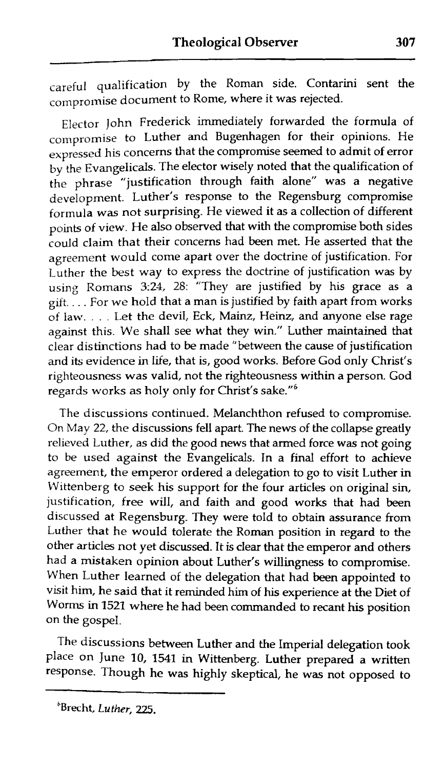careful qualification by the Roman side. Contarini sent the compromise document to Rome, where it was rejected.

Elector John Frederick immediateIy forwarded the formula of compromise to Luther and Bugenhagen for their opinions. He expressed his concerns that the compromise seemed to admit of error bv the Evangelicals. The elector wisely noted that the qualification of the phrase "justification through faith done" was a negative development. Luther's response to the Regensburg compromise formula was not surprising. He viewed it as **a** collection of different points of view. He also observed that with the compromise both sides could claim that their concerns had been met. He asserted that the agreement wouId come apart over the doctrine of justification. For Luther the best way to express the doctrine of justification was by using Romans **3:24, 26:** "They are justified by his grace as a gift. . . . For we hoId that a man is justified by faith apart from works of law. . . . Let the devil, Eck, Mainz, Heinz, and anyone else rage against this. We shall see what they win." Luther maintained that clear distinctions had to be made "between the cause of justification and its evidence in life, that is, good works. Before God only Christ's righteousness was valid, not the righteousness within a person. God regards works as holy only for Christ's sake."<sup>6</sup>

The discussions continued. Melanchthon refused to compromise. On May 22, the discussions fell apart. The news of the collapse greatly relieved Luther, as did the good news that armed force **was** not going to be used against the Evangelicals. In a final effort to achieve agreement, the emperor ordered a deIegation to go to visit Luther in Wittenberg to seek his support for the four articles on original sin, justification, free will, and faith and good works that had been discussed at Regensburg. They were told to obtain assurance from Luther **that** he would tolerate the Roman position in regard to the other articles not yet discussed. It is clear that the emperor **and** others had a mistaken opinion about Luther's willingness to compromise. When Luther learned of the delegation that had been appointed to visit him, he said that it reminded him of his experience at the Diet of Worms **in** 1521 where he had been commanded to recant his position on the gospel.

The discussions between Luther and the Imperial delegation took place on June 10, 1541 in Wittenberg. Luther prepared a written response. Though he was highly skeptical, he was not opposed to

**<sup>&</sup>quot;recht,** *Luther,* **225.**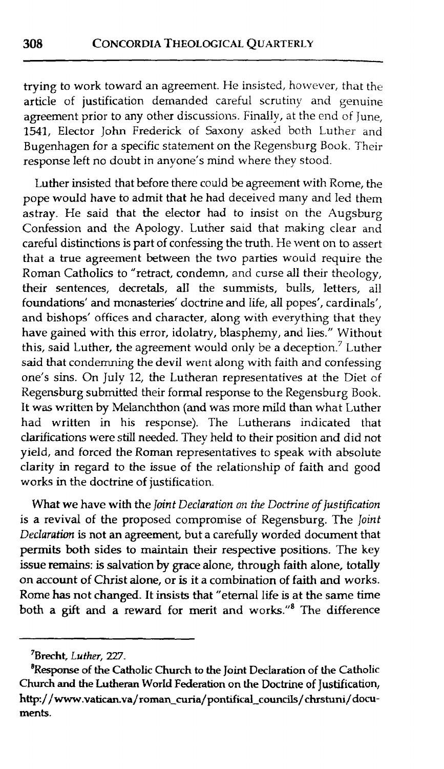trying to work toward an agreement. He insisted, however, that the article of justification demanded careful scrutiny and genuine agreement prior to any other discussions. Finally, at the end of June, 1541, Elector John Frederick of Saxony asked both Luther and Bugenhagen for a specific statement on the Regensburg Book. Their response left no doubt in anyone's mind where they stood.

Luther insisted that before there could be agreement with Rome, the pope would have to admit that he had deceived many and led them astrav. He said that the elector had to insist on the Augsburg Confession and the Apology. Luther said that making clear and careful distinctions is part of confessing the truth. He went on to assert that a true agreement between the two parties wouId require the Roman Catholics to "retract, condemn, and curse all their theology, their sentences, decretals, all the summists, buIls, letters, all foundations' and monasteries' doctrine and life, alI popes', cardinals', and bishops' offices and character, along with everything that they have gained with this error, idolatry, blasphemy, and lies." Without this, said Luther, the agreement would only be a deception.<sup>7</sup> Luther said that condemning the devil went along with faith and confessing one's sins. On July 12, the Lutheran representatives at the Diet of Regensburg submitted their formal response to the Regensburg Book. It was written by Melanchthon (and was more mild than what Luther had written in his response). The Lutherans indicated that clanfications were still needed. They held to their position **and** did not yield, **and** forced the Roman representatives to speak with absolute clarity in regard to the issue of the relationship of faith and good works in the doctrine of justification.

What we have with the *Joint Declaration on the Doctrine of Justification* is a revival of the proposed compromise of Regensburg. The *Joint Declaration* is not an agreement, but a carefully worded document that permits **both** sides to maintain their respective positions. The key issue **remaim:** is salvation by grace done, through faith alone, totaUy on account of Christ alone, or is it a combination of faith and works. Rome **has** not changed. It **insists** that "eternal life is at the same time both a *gdt* and a reward for merit **and** works."8 The difference

-- --

**<sup>7</sup>Brecht, Luther, 227.** 

**<sup>B</sup>Response of the Catholic Church to the Joint Declaration of the Catholic Church and the Lutheran World Federation on the Doctrine** of Justification, http://www.vatican.va/roman\_curia/pontifical\_councils/chrstuni/docu**ments.**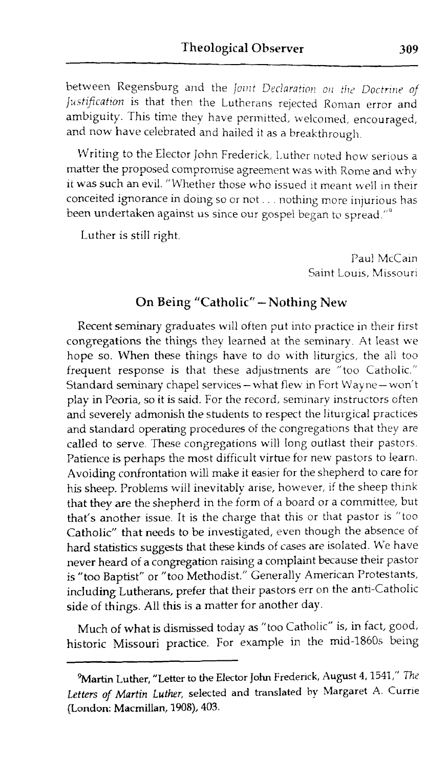between Regensburg and the Joint Declaration on the Doctrine of Justification is that then the Lutherans rejected Roman error and ambiguity. This time they have permitted, welcomed, encouraged, and now have celebrated and hailed it as a breakthrough.

Writing to the Elector John Frederick, Luther noted how serious a matter the proposed compromise agreement was with Rome and why it was such an evil. "Whether those who issued it meant well in their conceited ignorance in doing so or not . . . nothing more injurious has been undertaken against us since our gospel began to spread."<sup>2</sup>

Luther is stiII right.

Paul McCain Saint Louis, Missouri

#### On **Being "Catholic" -Nothing** New

Recent seminary graduates will often put into practice in their first congregations the things they learned at the seminary. At least we hope so. When these things have to do with liturgics, the all too frequent response is that these adjustments are "too Catholic." Standard seminary chapel services - what flew in Fort Wayne-won't play in Peoria, so it is said. For the record, seminary instructors often and severely admonish the students to respect the liturgical practices and standard operating procedures of the congregations that they are called to serve. These congregations will long outlast their pastors. Patience is perhaps the most difficult virtue for new pastors to learn. Avoiding confrontation will make it easier for the shepherd to care for his sheep. Problems will inevitably arise, however, if the sheep think that they are the shepherd in the form of a board or a committee, but that's another issue. It is the charge that this or that pastor is "too Catholic" that needs to be investigated, even though the absence of hard statistics suggests that these kinds of cases are isolated. We have never heard of a congregation raising a compIaint because their pastor is "too Baptist" or "too Methodist." Generally American Protestants, including Lutherans, prefer that their pastors err on the anti-Catholic side of things. All this is a matter for another day.

Much of what is dismissed today as "too Catholic" is, in fact, good, historic Missouri practice. For example in the mid-1860s being

<sup>&</sup>lt;sup>9</sup> Martin Luther, "Letter to the Elector John Frederick, August 4, 1541," The Letters of Martin Luther, selected and translated by Margaret A. Currie (London: **Macmillan, 1908), 403.**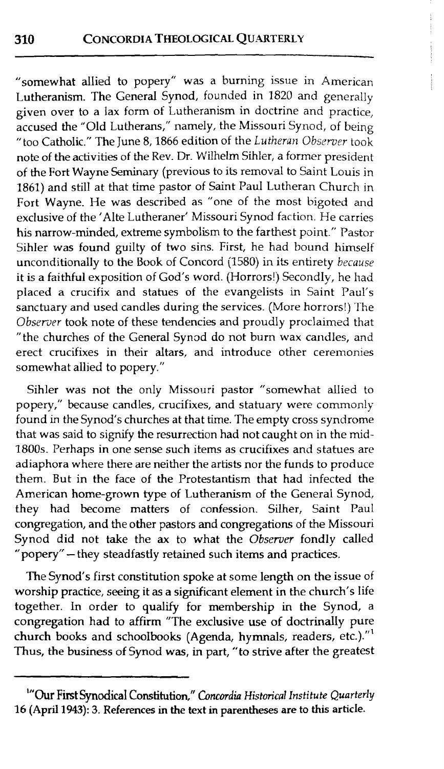"somewhat allied to popery" was a burning issue in American Lutheranism. The General Synod, founded in 1820 and generally given over to a lax form of Lutheranism in doctrine and practice, accused the "Old Lutherans," namely, the Missouri Synod, of being "too Catholic." The June 8, 1866 edition of the *Lutheran Observer* took note of the activities of the Rev. Dr. Wilhelm Sihler, a former president of the Fort Wayne Seminary (previous to its removal to Saint Louis in 1861) and still at that time pastor of Saint Paul Lutheran Church in Fort Wayne. He was described as "one of the most bigoted and exclusive of the 'Alte Lutheraner' Missouri Synod faction. He carries his narrow-minded, extreme symbolism to the farthest point." Pastor Sihler was found guilty of two sins. First, he had bound himself unconditionally to the Book of Concord (1580) in its entirety *because* it is a faithful exposition of God's word. (Horrors!) Secondly, he had placed a crucifix and statues of the evangelists in Saint Paul's sanctuary and used candles during the services. (More horrors!) The *Obsemer* took note of these tendencies and proudly proclaimed that "the churches of the General Synod do not burn wax candles, and erect crucifixes in their altars, and introduce other ceremonies somewhat allied to popery."

Sihler was not the only Missouri pastor "somewhat allied to popery," because candles, crucifixes, and statuary were commonly found in the Synod's churches at that time. The empty cross syndrome that was said to signify the resurrection had not caught on in the mid-1800s. Perhaps in one sense such items as crucifixes and statues are adiaphora where there are neither the artists nor the funds to produce them. But in the face of the Protestantism that had infected the American home-grown type of Lutheranism of the General Synod, they had become matters of confession. Silher, Saint Paul congregation, and the other pastors and congregations of the Missouri Synod did not take the **ax** to what the *Obserucr* fondly called "popery" - they steadfastly retained such items and practices.

The Synod's first constitution spoke at some length on the issue of worship practice, seeing it as a significant element in the church's life together. In order to qualify for membership in the Synod, a congregation had to affirm "The exclusive use of doctrinally pure church books and schoolbooks (Agenda, hymnals, readers, etc.). $^{\prime\prime}{}^{\prime}$ Thus, the business of Synod **was,** in part, "to strive after the greatest

<sup>&</sup>lt;sup>1</sup>"Our First Synodical Constitution," Concordia Historical Institute Quarterly **16 (April 1943): 3. References in the text in parentheses are to this articIe.**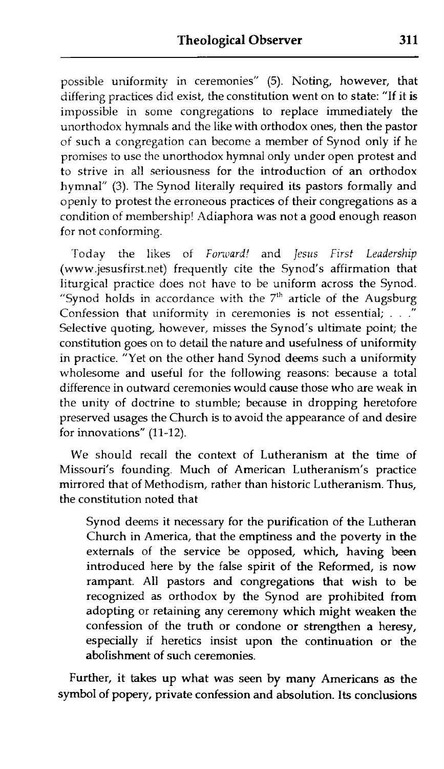possible uniformity in ceremonies" (5). Noting, however, that differing practices did exist, the constitution went on to state: "If it is impossible in some congregations to replace immediately the unorthodox hymnals and the Iike with orthodox ones, then the pastor of such a congregation can become a member of Synod onIy if he promises to use the unorthodox hymnal only under open protest and to strive in all seriousness for the introduction of an orthodox hymnal" (3). The Synod literally required its pastors formally and openly to protest the erroneous practices of their congregations as a condition of membership! Adiaphora was not a good enough reason for not conforming.

Today the likes of *Forward!* and *Jesus First Leadership* (www.jesusfirst.net) frequentIy cite the Synod's affirmation that liturgical practice does not have to be uniform across the Synod. "Synod holds in accordance with the  $7<sup>th</sup>$  article of the Augsburg Confession that uniformity in ceremonies is not essential; . . .<sup>"</sup> Selective quoting, however, misses the Synod's ultimate point; the constitution goes on to detail the nature and usefulness of uniformity in practice. "Yet on the other hand Svnod deems such a uniformity wholesome and useful for the following reasons: because a total difference in outward ceremonies would cause those who are weak in the unity of doctrine to stumble; because in dropping heretofore preserved usages the Church is to avoid the appearance of and desire for innovations" **(11-12).** 

We should recall the context of Lutheranism at the time of Missouri's founding. Much of American Lutheranism's practice mirrored that of Methodism, rather than historic Lutheranism. Thus, the constitution noted that

Synod deems it necessary for the purification of the Lutheran Church in America, that the emptiness **and** the poverty in the externals of the service be opposed, which, having been introduced here by the false spirit of the Reformed, is now rampant. All pastors and congregations that wish to be recognized as orthodox by the Synod are prohibited from adopting or retaining any ceremony which might weaken the confession of the truth or condone or strengthen a heresy, especially if heretics insist upon the continuation or the abolishment of such ceremonies.

Further, it takes up what was seen by many Americans as the symboI of popery, private confession and absolution. **Its** conclusions